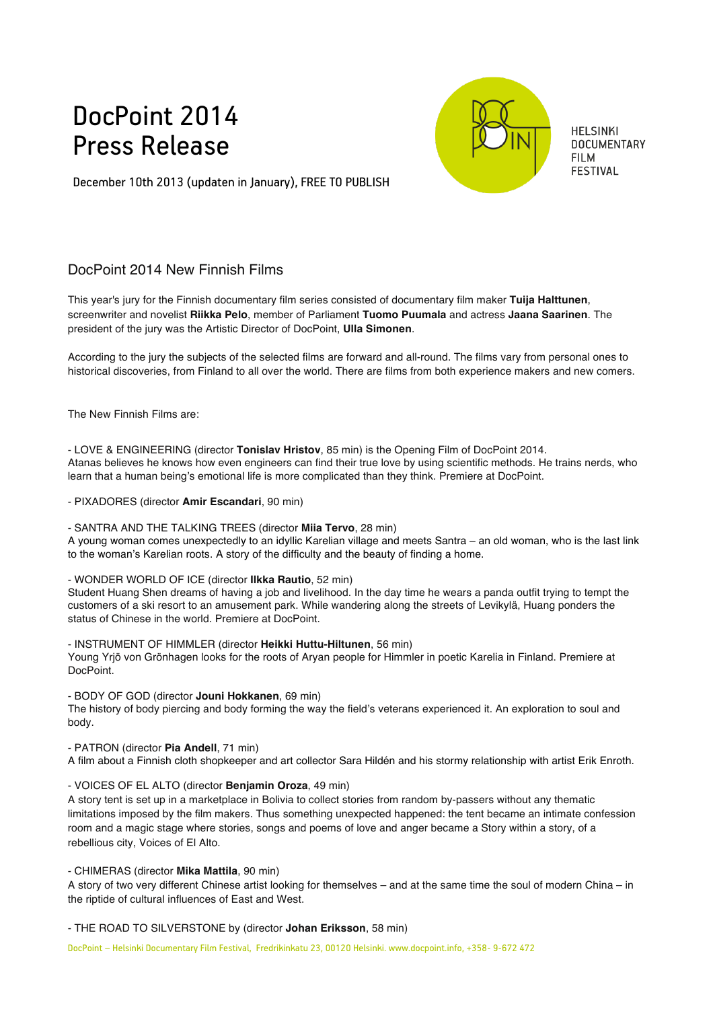# DocPoint 2014 Press Release



**HELSINKI DOCUMENTARY FILM FESTIVAL** 

December 10th 2013 (updaten in January), FREE TO PUBLISH

# DocPoint 2014 New Finnish Films

This year's jury for the Finnish documentary film series consisted of documentary film maker **Tuija Halttunen**, screenwriter and novelist **Riikka Pelo**, member of Parliament **Tuomo Puumala** and actress **Jaana Saarinen**. The president of the jury was the Artistic Director of DocPoint, **Ulla Simonen**.

According to the jury the subjects of the selected films are forward and all-round. The films vary from personal ones to historical discoveries, from Finland to all over the world. There are films from both experience makers and new comers.

The New Finnish Films are:

- LOVE & ENGINEERING (director **Tonislav Hristov**, 85 min) is the Opening Film of DocPoint 2014. Atanas believes he knows how even engineers can find their true love by using scientific methods. He trains nerds, who learn that a human being's emotional life is more complicated than they think. Premiere at DocPoint.

- PIXADORES (director **Amir Escandari**, 90 min)

- SANTRA AND THE TALKING TREES (director **Miia Tervo**, 28 min)

A young woman comes unexpectedly to an idyllic Karelian village and meets Santra – an old woman, who is the last link to the woman's Karelian roots. A story of the difficulty and the beauty of finding a home.

### - WONDER WORLD OF ICE (director **Ilkka Rautio**, 52 min)

Student Huang Shen dreams of having a job and livelihood. In the day time he wears a panda outfit trying to tempt the customers of a ski resort to an amusement park. While wandering along the streets of Levikylä, Huang ponders the status of Chinese in the world. Premiere at DocPoint.

- INSTRUMENT OF HIMMLER (director **Heikki Huttu-Hiltunen**, 56 min) Young Yrjö von Grönhagen looks for the roots of Aryan people for Himmler in poetic Karelia in Finland. Premiere at DocPoint.

- BODY OF GOD (director **Jouni Hokkanen**, 69 min)

The history of body piercing and body forming the way the field's veterans experienced it. An exploration to soul and body.

- PATRON (director **Pia Andell**, 71 min)

A film about a Finnish cloth shopkeeper and art collector Sara Hildén and his stormy relationship with artist Erik Enroth.

## - VOICES OF EL ALTO (director **Benjamin Oroza**, 49 min)

A story tent is set up in a marketplace in Bolivia to collect stories from random by-passers without any thematic limitations imposed by the film makers. Thus something unexpected happened: the tent became an intimate confession room and a magic stage where stories, songs and poems of love and anger became a Story within a story, of a rebellious city, Voices of El Alto.

- CHIMERAS (director **Mika Mattila**, 90 min)

A story of two very different Chinese artist looking for themselves – and at the same time the soul of modern China – in the riptide of cultural influences of East and West.

- THE ROAD TO SILVERSTONE by (director **Johan Eriksson**, 58 min)

DocPoint – Helsinki Documentary Film Festival, Fredrikinkatu 23, 00120 Helsinki. www.docpoint.info, +358- 9-672 472